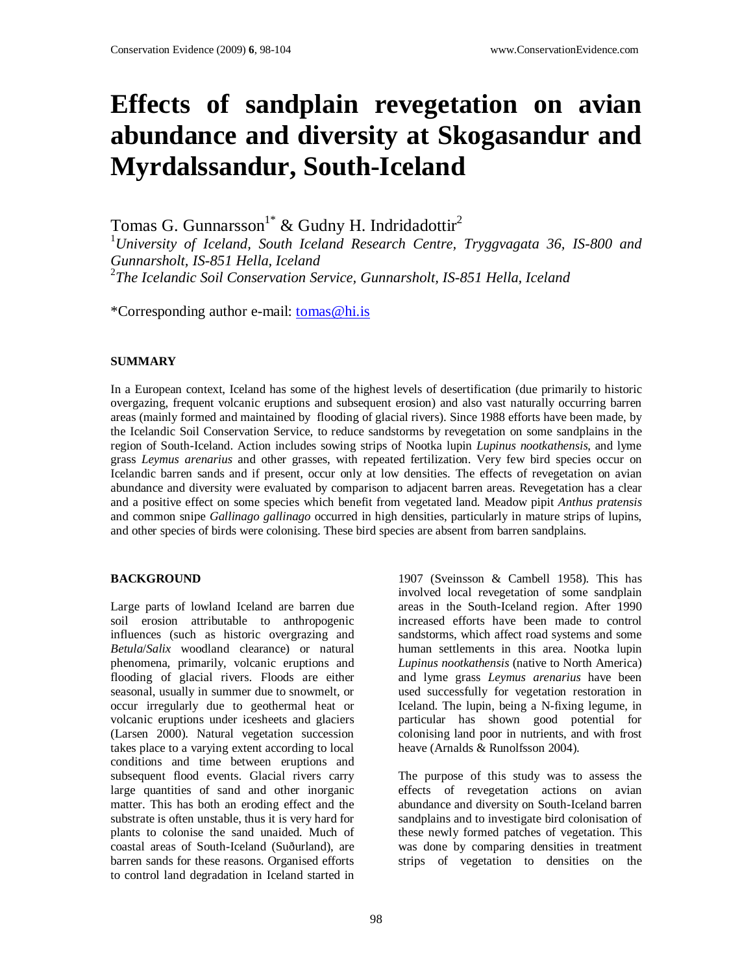# **Effects of sandplain revegetation on avian abundance and diversity at Skogasandur and Myrdalssandur, South-Iceland**

Tomas G. Gunnarsson<sup>1\*</sup> & Gudny H. Indridadottir<sup>2</sup>

<sup>1</sup>*University of Iceland, South Iceland Research Centre, Tryggvagata 36, IS-800 and Gunnarsholt, IS-851 Hella, Iceland* 

<sup>2</sup>The Icelandic Soil Conservation Service, Gunnarsholt, IS-851 Hella, Iceland

\*Corresponding author e-mail: tomas@hi.is

## **SUMMARY**

In a European context, Iceland has some of the highest levels of desertification (due primarily to historic overgazing, frequent volcanic eruptions and subsequent erosion) and also vast naturally occurring barren areas (mainly formed and maintained by flooding of glacial rivers). Since 1988 efforts have been made, by the Icelandic Soil Conservation Service, to reduce sandstorms by revegetation on some sandplains in the region of South-Iceland. Action includes sowing strips of Nootka lupin *Lupinus nootkathensis*, and lyme grass *Leymus arenarius* and other grasses, with repeated fertilization. Very few bird species occur on Icelandic barren sands and if present, occur only at low densities. The effects of revegetation on avian abundance and diversity were evaluated by comparison to adjacent barren areas. Revegetation has a clear and a positive effect on some species which benefit from vegetated land. Meadow pipit *Anthus pratensis* and common snipe *Gallinago gallinago* occurred in high densities, particularly in mature strips of lupins, and other species of birds were colonising. These bird species are absent from barren sandplains.

## **BACKGROUND**

Large parts of lowland Iceland are barren due soil erosion attributable to anthropogenic influences (such as historic overgrazing and *Betula*/*Salix* woodland clearance) or natural phenomena, primarily, volcanic eruptions and flooding of glacial rivers. Floods are either seasonal, usually in summer due to snowmelt, or occur irregularly due to geothermal heat or volcanic eruptions under icesheets and glaciers (Larsen 2000). Natural vegetation succession takes place to a varying extent according to local conditions and time between eruptions and subsequent flood events. Glacial rivers carry large quantities of sand and other inorganic matter. This has both an eroding effect and the substrate is often unstable, thus it is very hard for plants to colonise the sand unaided. Much of coastal areas of South-Iceland (Suðurland), are barren sands for these reasons. Organised efforts to control land degradation in Iceland started in

1907 (Sveinsson & Cambell 1958). This has involved local revegetation of some sandplain areas in the South-Iceland region. After 1990 increased efforts have been made to control sandstorms, which affect road systems and some human settlements in this area. Nootka lupin *Lupinus nootkathensis* (native to North America) and lyme grass *Leymus arenarius* have been used successfully for vegetation restoration in Iceland. The lupin, being a N-fixing legume, in particular has shown good potential for colonising land poor in nutrients, and with frost heave (Arnalds & Runolfsson 2004).

The purpose of this study was to assess the effects of revegetation actions on avian abundance and diversity on South-Iceland barren sandplains and to investigate bird colonisation of these newly formed patches of vegetation. This was done by comparing densities in treatment strips of vegetation to densities on the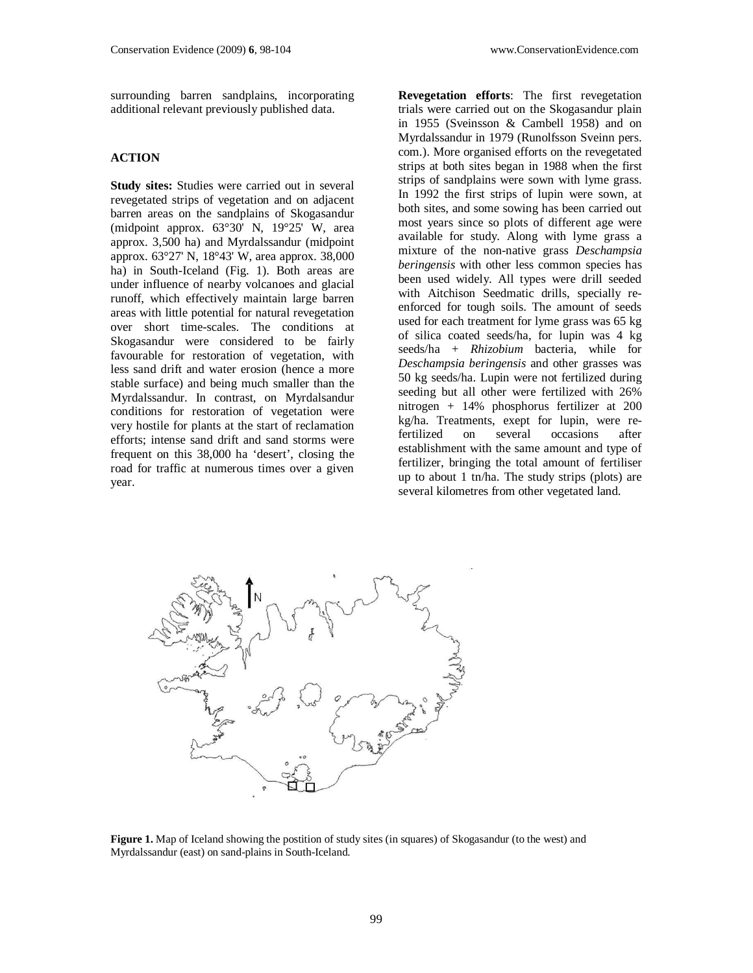surrounding barren sandplains, incorporating additional relevant previously published data.

#### **ACTION**

**Study sites:** Studies were carried out in several revegetated strips of vegetation and on adjacent barren areas on the sandplains of Skogasandur (midpoint approx. 63°30' N, 19°25' W, area approx. 3,500 ha) and Myrdalssandur (midpoint approx. 63°27' N, 18°43' W, area approx. 38,000 ha) in South-Iceland (Fig. 1). Both areas are under influence of nearby volcanoes and glacial runoff, which effectively maintain large barren areas with little potential for natural revegetation over short time-scales. The conditions at Skogasandur were considered to be fairly favourable for restoration of vegetation, with less sand drift and water erosion (hence a more stable surface) and being much smaller than the Myrdalssandur. In contrast, on Myrdalsandur conditions for restoration of vegetation were very hostile for plants at the start of reclamation efforts; intense sand drift and sand storms were frequent on this 38,000 ha 'desert', closing the road for traffic at numerous times over a given year.

**Revegetation efforts**: The first revegetation trials were carried out on the Skogasandur plain in 1955 (Sveinsson & Cambell 1958) and on Myrdalssandur in 1979 (Runolfsson Sveinn pers. com.). More organised efforts on the revegetated strips at both sites began in 1988 when the first strips of sandplains were sown with lyme grass. In 1992 the first strips of lupin were sown, at both sites, and some sowing has been carried out most years since so plots of different age were available for study. Along with lyme grass a mixture of the non-native grass *Deschampsia beringensis* with other less common species has been used widely. All types were drill seeded with Aitchison Seedmatic drills, specially reenforced for tough soils. The amount of seeds used for each treatment for lyme grass was 65 kg of silica coated seeds/ha, for lupin was 4 kg seeds/ha + *Rhizobium* bacteria, while for *Deschampsia beringensis* and other grasses was 50 kg seeds/ha. Lupin were not fertilized during seeding but all other were fertilized with 26% nitrogen + 14% phosphorus fertilizer at 200 kg/ha. Treatments, exept for lupin, were refertilized on several occasions after establishment with the same amount and type of fertilizer, bringing the total amount of fertiliser up to about 1 tn/ha. The study strips (plots) are several kilometres from other vegetated land.



**Figure 1.** Map of Iceland showing the postition of study sites (in squares) of Skogasandur (to the west) and Myrdalssandur (east) on sand-plains in South-Iceland.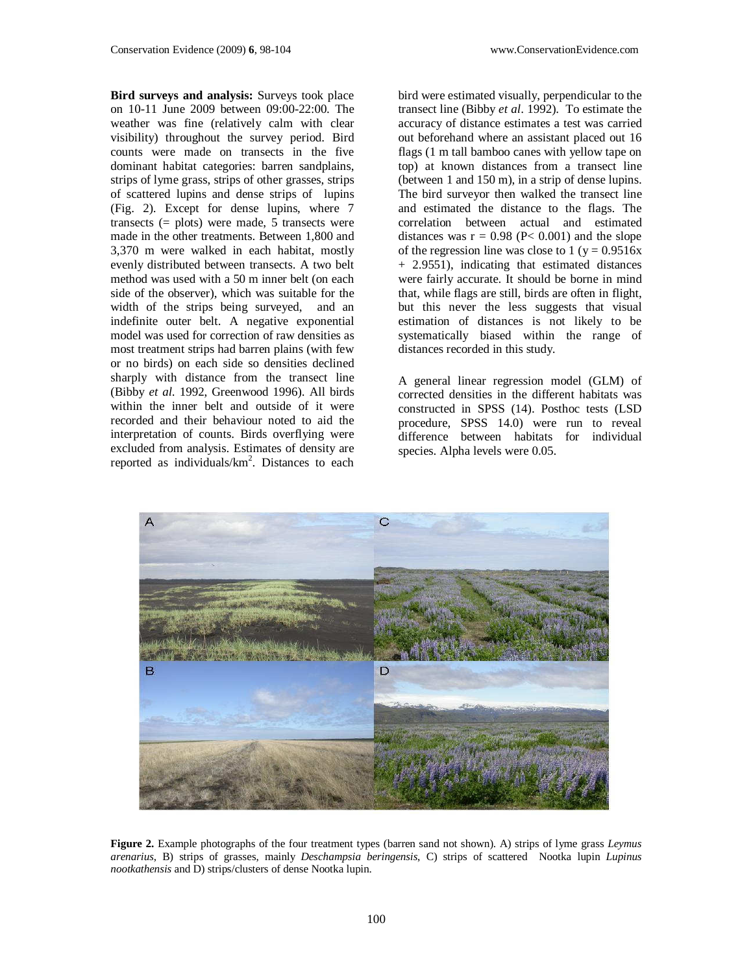**Bird surveys and analysis:** Surveys took place on 10-11 June 2009 between 09:00-22:00. The weather was fine (relatively calm with clear visibility) throughout the survey period. Bird counts were made on transects in the five dominant habitat categories: barren sandplains, strips of lyme grass, strips of other grasses, strips of scattered lupins and dense strips of lupins (Fig. 2). Except for dense lupins, where 7 transects  $(=$  plots) were made,  $\overline{5}$  transects were made in the other treatments. Between 1,800 and 3,370 m were walked in each habitat, mostly evenly distributed between transects. A two belt method was used with a 50 m inner belt (on each side of the observer), which was suitable for the width of the strips being surveyed, and an indefinite outer belt. A negative exponential model was used for correction of raw densities as most treatment strips had barren plains (with few or no birds) on each side so densities declined sharply with distance from the transect line (Bibby *et al*. 1992, Greenwood 1996). All birds within the inner belt and outside of it were recorded and their behaviour noted to aid the interpretation of counts. Birds overflying were excluded from analysis. Estimates of density are reported as individuals/km<sup>2</sup>. Distances to each

bird were estimated visually, perpendicular to the transect line (Bibby *et al*. 1992). To estimate the accuracy of distance estimates a test was carried out beforehand where an assistant placed out 16 flags (1 m tall bamboo canes with yellow tape on top) at known distances from a transect line (between 1 and 150 m), in a strip of dense lupins. The bird surveyor then walked the transect line and estimated the distance to the flags. The correlation between actual and estimated distances was  $r = 0.98$  (P< 0.001) and the slope of the regression line was close to 1 ( $y = 0.9516x$ ) + 2.9551), indicating that estimated distances were fairly accurate. It should be borne in mind that, while flags are still, birds are often in flight, but this never the less suggests that visual estimation of distances is not likely to be systematically biased within the range of distances recorded in this study.

A general linear regression model (GLM) of corrected densities in the different habitats was constructed in SPSS (14). Posthoc tests (LSD procedure, SPSS 14.0) were run to reveal difference between habitats for individual species. Alpha levels were 0.05.



**Figure 2.** Example photographs of the four treatment types (barren sand not shown). A) strips of lyme grass *Leymus arenarius*, B) strips of grasses, mainly *Deschampsia beringensis*, C) strips of scattered Nootka lupin *Lupinus nootkathensis* and D) strips/clusters of dense Nootka lupin.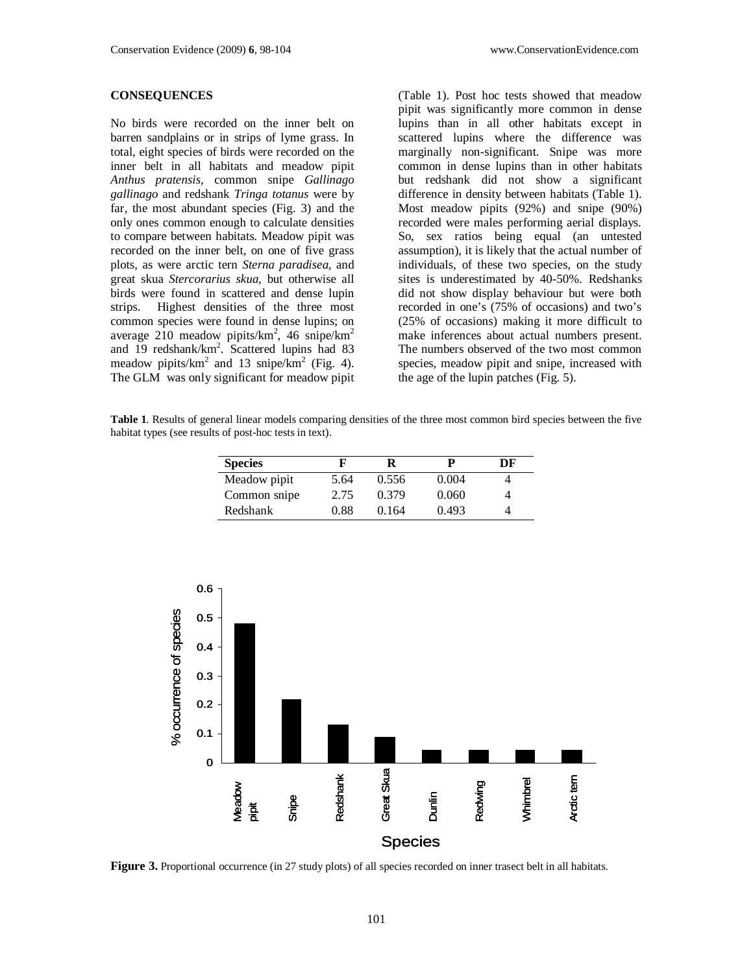## **CONSEQUENCES**

No birds were recorded on the inner belt on barren sandplains or in strips of lyme grass. In total, eight species of birds were recorded on the inner belt in all habitats and meadow pipit *Anthus pratensis,* common snipe *Gallinago gallinago* and redshank *Tringa totanus* were by far, the most abundant species (Fig. 3) and the only ones common enough to calculate densities to compare between habitats. Meadow pipit was recorded on the inner belt, on one of five grass plots, as were arctic tern *Sterna paradisea,* and great skua *Stercorarius skua,* but otherwise all birds were found in scattered and dense lupin strips. Highest densities of the three most common species were found in dense lupins; on average 210 meadow pipits/km<sup>2</sup>, 46 snipe/km<sup>2</sup> and 19 redshank/km<sup>2</sup> . Scattered lupins had 83 meadow pipits/ $km^2$  and 13 snipe/ $km^2$  (Fig. 4). The GLM was only significant for meadow pipit

(Table 1). Post hoc tests showed that meadow pipit was significantly more common in dense lupins than in all other habitats except in scattered lupins where the difference was marginally non-significant. Snipe was more common in dense lupins than in other habitats but redshank did not show a significant difference in density between habitats (Table 1). Most meadow pipits (92%) and snipe (90%) recorded were males performing aerial displays. So, sex ratios being equal (an untested assumption), it is likely that the actual number of individuals, of these two species, on the study sites is underestimated by 40-50%. Redshanks did not show display behaviour but were both recorded in one's (75% of occasions) and two's (25% of occasions) making it more difficult to make inferences about actual numbers present. The numbers observed of the two most common species, meadow pipit and snipe, increased with the age of the lupin patches (Fig. 5).

**Table 1**. Results of general linear models comparing densities of the three most common bird species between the five habitat types (see results of post-hoc tests in text).

| <b>Species</b> |      |       |       | DF |
|----------------|------|-------|-------|----|
| Meadow pipit   | 5.64 | 0.556 | 0.004 |    |
| Common snipe   | 2.75 | 0.379 | 0.060 |    |
| Redshank       | 0.88 | 0.164 | 0.493 |    |



Figure 3. Proportional occurrence (in 27 study plots) of all species recorded on inner trasect belt in all habitats.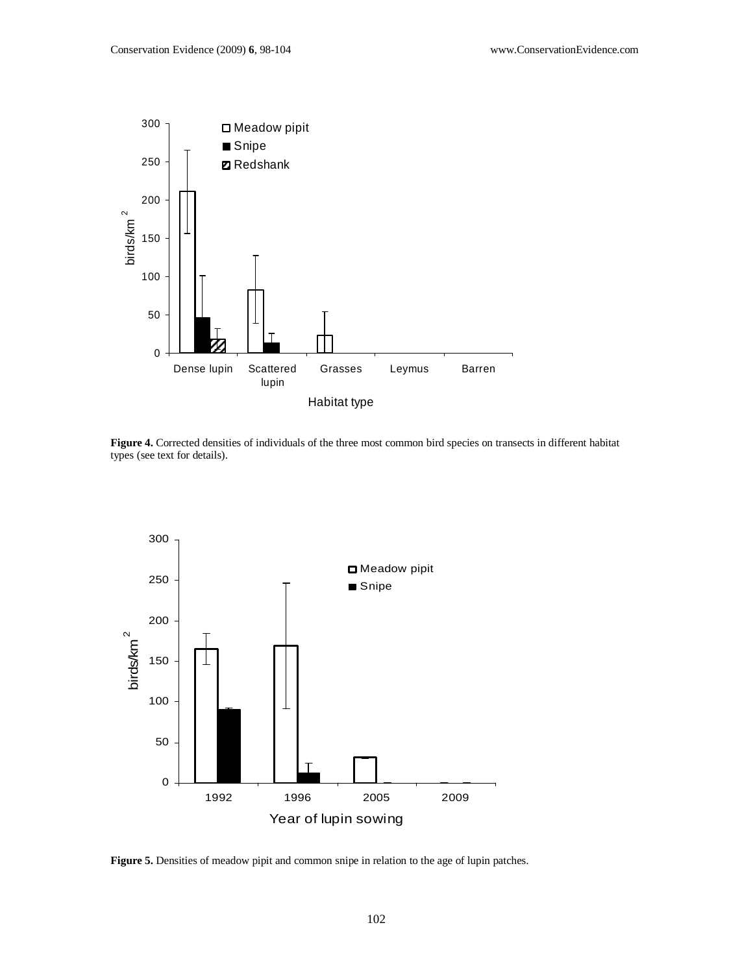

**Figure 4.** Corrected densities of individuals of the three most common bird species on transects in different habitat types (see text for details).



**Figure 5.** Densities of meadow pipit and common snipe in relation to the age of lupin patches.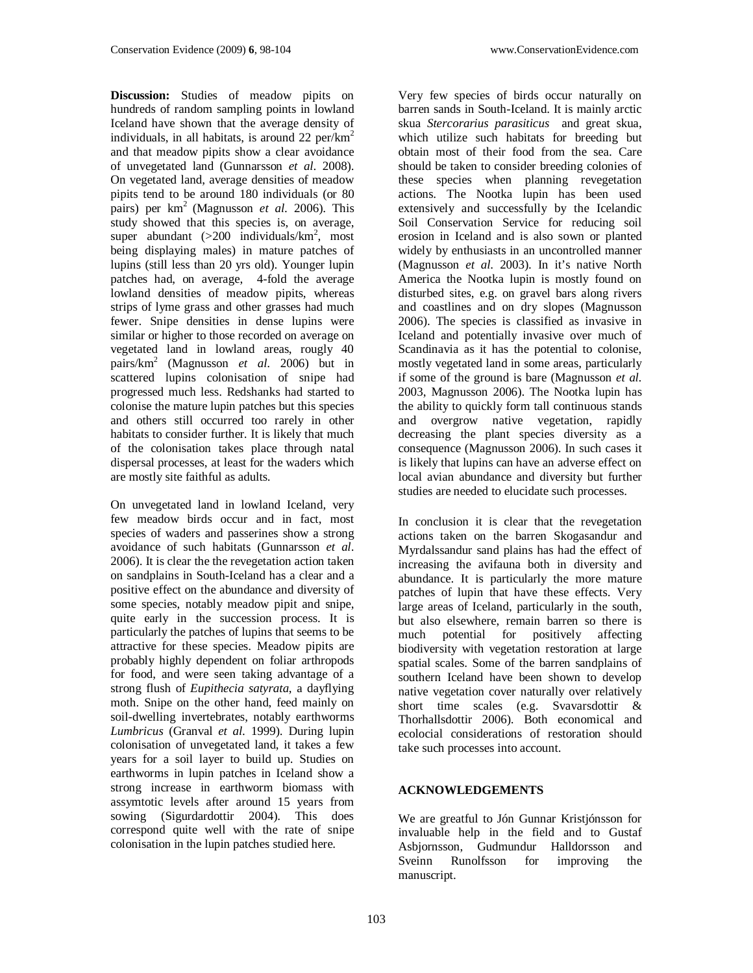**Discussion:** Studies of meadow pipits on hundreds of random sampling points in lowland Iceland have shown that the average density of individuals, in all habitats, is around 22 per/ $km^2$ and that meadow pipits show a clear avoidance of unvegetated land (Gunnarsson *et al*. 2008). On vegetated land, average densities of meadow pipits tend to be around 180 individuals (or 80 pairs) per km<sup>2</sup> (Magnusson *et al.* 2006). This study showed that this species is, on average, super abundant  $(>200 \text{ individuals/km}^2, \text{most}$ being displaying males) in mature patches of lupins (still less than 20 yrs old). Younger lupin patches had, on average, 4-fold the average lowland densities of meadow pipits, whereas strips of lyme grass and other grasses had much fewer. Snipe densities in dense lupins were similar or higher to those recorded on average on vegetated land in lowland areas, rougly 40 pairs/km<sup>2</sup> (Magnusson *et al*. 2006) but in scattered lupins colonisation of snipe had progressed much less. Redshanks had started to colonise the mature lupin patches but this species and others still occurred too rarely in other habitats to consider further. It is likely that much of the colonisation takes place through natal dispersal processes, at least for the waders which are mostly site faithful as adults.

On unvegetated land in lowland Iceland, very few meadow birds occur and in fact, most species of waders and passerines show a strong avoidance of such habitats (Gunnarsson *et al*. 2006). It is clear the the revegetation action taken on sandplains in South-Iceland has a clear and a positive effect on the abundance and diversity of some species, notably meadow pipit and snipe, quite early in the succession process. It is particularly the patches of lupins that seems to be attractive for these species. Meadow pipits are probably highly dependent on foliar arthropods for food, and were seen taking advantage of a strong flush of *Eupithecia satyrata*, a dayflying moth. Snipe on the other hand, feed mainly on soil-dwelling invertebrates, notably earthworms *Lumbricus* (Granval *et al*. 1999). During lupin colonisation of unvegetated land, it takes a few years for a soil layer to build up. Studies on earthworms in lupin patches in Iceland show a strong increase in earthworm biomass with assymtotic levels after around 15 years from sowing (Sigurdardottir 2004). This does correspond quite well with the rate of snipe colonisation in the lupin patches studied here.

Very few species of birds occur naturally on barren sands in South-Iceland. It is mainly arctic skua *Stercorarius parasiticus* and great skua, which utilize such habitats for breeding but obtain most of their food from the sea. Care should be taken to consider breeding colonies of these species when planning revegetation actions. The Nootka lupin has been used extensively and successfully by the Icelandic Soil Conservation Service for reducing soil erosion in Iceland and is also sown or planted widely by enthusiasts in an uncontrolled manner (Magnusson *et al*. 2003). In it's native North America the Nootka lupin is mostly found on disturbed sites, e.g. on gravel bars along rivers and coastlines and on dry slopes (Magnusson 2006). The species is classified as invasive in Iceland and potentially invasive over much of Scandinavia as it has the potential to colonise, mostly vegetated land in some areas, particularly if some of the ground is bare (Magnusson *et al.* 2003, Magnusson 2006). The Nootka lupin has the ability to quickly form tall continuous stands and overgrow native vegetation, rapidly decreasing the plant species diversity as a consequence (Magnusson 2006). In such cases it is likely that lupins can have an adverse effect on local avian abundance and diversity but further studies are needed to elucidate such processes.

In conclusion it is clear that the revegetation actions taken on the barren Skogasandur and Myrdalssandur sand plains has had the effect of increasing the avifauna both in diversity and abundance. It is particularly the more mature patches of lupin that have these effects. Very large areas of Iceland, particularly in the south, but also elsewhere, remain barren so there is much potential for positively affecting biodiversity with vegetation restoration at large spatial scales. Some of the barren sandplains of southern Iceland have been shown to develop native vegetation cover naturally over relatively short time scales (e.g. Svavarsdottir & Thorhallsdottir 2006). Both economical and ecolocial considerations of restoration should take such processes into account.

## **ACKNOWLEDGEMENTS**

We are greatful to Jón Gunnar Kristjónsson for invaluable help in the field and to Gustaf Asbjornsson, Gudmundur Halldorsson and Sveinn Runolfsson for improving the manuscript.